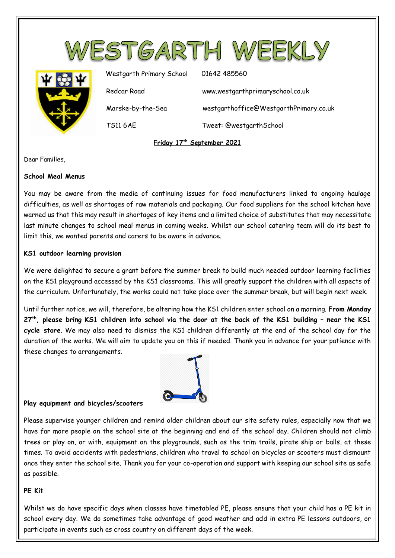

Dear Families,

## **School Meal Menus**

You may be aware from the media of continuing issues for food manufacturers linked to ongoing haulage difficulties, as well as shortages of raw materials and packaging. Our food suppliers for the school kitchen have warned us that this may result in shortages of key items and a limited choice of substitutes that may necessitate last minute changes to school meal menus in coming weeks. Whilst our school catering team will do its best to limit this, we wanted parents and carers to be aware in advance.

## **KS1 outdoor learning provision**

We were delighted to secure a grant before the summer break to build much needed outdoor learning facilities on the KS1 playground accessed by the KS1 classrooms. This will greatly support the children with all aspects of the curriculum. Unfortunately, the works could not take place over the summer break, but will begin next week.

Until further notice, we will, therefore, be altering how the KS1 children enter school on a morning. **From Monday 27th, please bring KS1 children into school via the door at the back of the KS1 building – near the KS1 cycle store**. We may also need to dismiss the KS1 children differently at the end of the school day for the duration of the works. We will aim to update you on this if needed. Thank you in advance for your patience with these changes to arrangements.



# **Play equipment and bicycles/scooters**

Please supervise younger children and remind older children about our site safety rules, especially now that we have far more people on the school site at the beginning and end of the school day. Children should not climb trees or play on, or with, equipment on the playgrounds, such as the trim trails, pirate ship or balls, at these times. To avoid accidents with pedestrians, children who travel to school on bicycles or scooters must dismount once they enter the school site. Thank you for your co-operation and support with keeping our school site as safe as possible.

# **PE Kit**

Whilst we do have specific days when classes have timetabled PE, please ensure that your child has a PE kit in school every day. We do sometimes take advantage of good weather and add in extra PE lessons outdoors, or participate in events such as cross country on different days of the week.